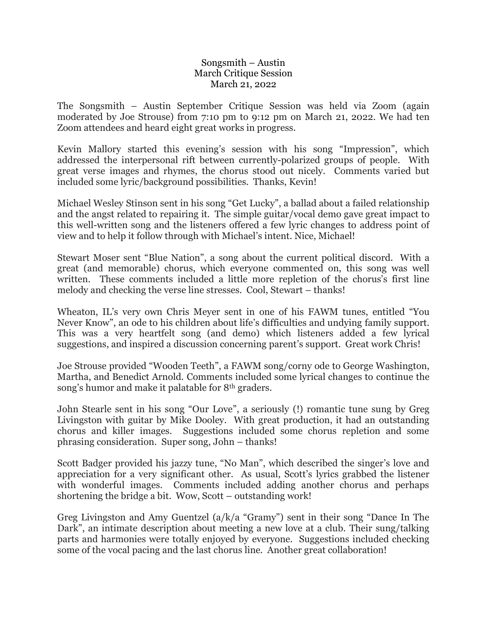## Songsmith – Austin March Critique Session March 21, 2022

The Songsmith – Austin September Critique Session was held via Zoom (again moderated by Joe Strouse) from 7:10 pm to 9:12 pm on March 21, 2022. We had ten Zoom attendees and heard eight great works in progress.

Kevin Mallory started this evening's session with his song "Impression", which addressed the interpersonal rift between currently-polarized groups of people. With great verse images and rhymes, the chorus stood out nicely. Comments varied but included some lyric/background possibilities. Thanks, Kevin!

Michael Wesley Stinson sent in his song "Get Lucky", a ballad about a failed relationship and the angst related to repairing it. The simple guitar/vocal demo gave great impact to this well-written song and the listeners offered a few lyric changes to address point of view and to help it follow through with Michael's intent. Nice, Michael!

Stewart Moser sent "Blue Nation", a song about the current political discord. With a great (and memorable) chorus, which everyone commented on, this song was well written. These comments included a little more repletion of the chorus's first line melody and checking the verse line stresses. Cool, Stewart – thanks!

Wheaton, IL's very own Chris Meyer sent in one of his FAWM tunes, entitled "You Never Know", an ode to his children about life's difficulties and undying family support. This was a very heartfelt song (and demo) which listeners added a few lyrical suggestions, and inspired a discussion concerning parent's support. Great work Chris!

Joe Strouse provided "Wooden Teeth", a FAWM song/corny ode to George Washington, Martha, and Benedict Arnold. Comments included some lyrical changes to continue the song's humor and make it palatable for 8th graders.

John Stearle sent in his song "Our Love", a seriously (!) romantic tune sung by Greg Livingston with guitar by Mike Dooley. With great production, it had an outstanding chorus and killer images. Suggestions included some chorus repletion and some phrasing consideration. Super song, John – thanks!

Scott Badger provided his jazzy tune, "No Man", which described the singer's love and appreciation for a very significant other. As usual, Scott's lyrics grabbed the listener with wonderful images. Comments included adding another chorus and perhaps shortening the bridge a bit. Wow, Scott – outstanding work!

Greg Livingston and Amy Guentzel (a/k/a "Gramy") sent in their song "Dance In The Dark", an intimate description about meeting a new love at a club. Their sung/talking parts and harmonies were totally enjoyed by everyone. Suggestions included checking some of the vocal pacing and the last chorus line. Another great collaboration!